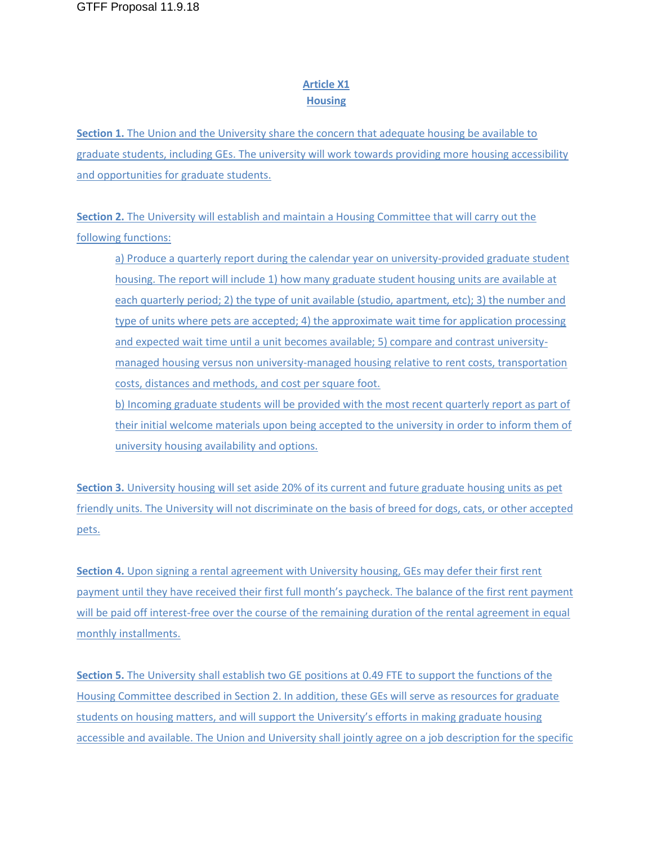## **Article X1 Housing**

**Section 1.** The Union and the University share the concern that adequate housing be available to graduate students, including GEs. The university will work towards providing more housing accessibility and opportunities for graduate students.

**Section 2.** The University will establish and maintain a Housing Committee that will carry out the following functions:

a) Produce a quarterly report during the calendar year on university-provided graduate student housing. The report will include 1) how many graduate student housing units are available at each quarterly period; 2) the type of unit available (studio, apartment, etc); 3) the number and type of units where pets are accepted; 4) the approximate wait time for application processing and expected wait time until a unit becomes available; 5) compare and contrast universitymanaged housing versus non university-managed housing relative to rent costs, transportation costs, distances and methods, and cost per square foot. b) Incoming graduate students will be provided with the most recent quarterly report as part of their initial welcome materials upon being accepted to the university in order to inform them of university housing availability and options.

**Section 3.** University housing will set aside 20% of its current and future graduate housing units as pet friendly units. The University will not discriminate on the basis of breed for dogs, cats, or other accepted pets.

**Section 4.** Upon signing a rental agreement with University housing, GEs may defer their first rent payment until they have received their first full month's paycheck. The balance of the first rent payment will be paid off interest-free over the course of the remaining duration of the rental agreement in equal monthly installments.

**Section 5.** The University shall establish two GE positions at 0.49 FTE to support the functions of the Housing Committee described in Section 2. In addition, these GEs will serve as resources for graduate students on housing matters, and will support the University's efforts in making graduate housing accessible and available. The Union and University shall jointly agree on a job description for the specific